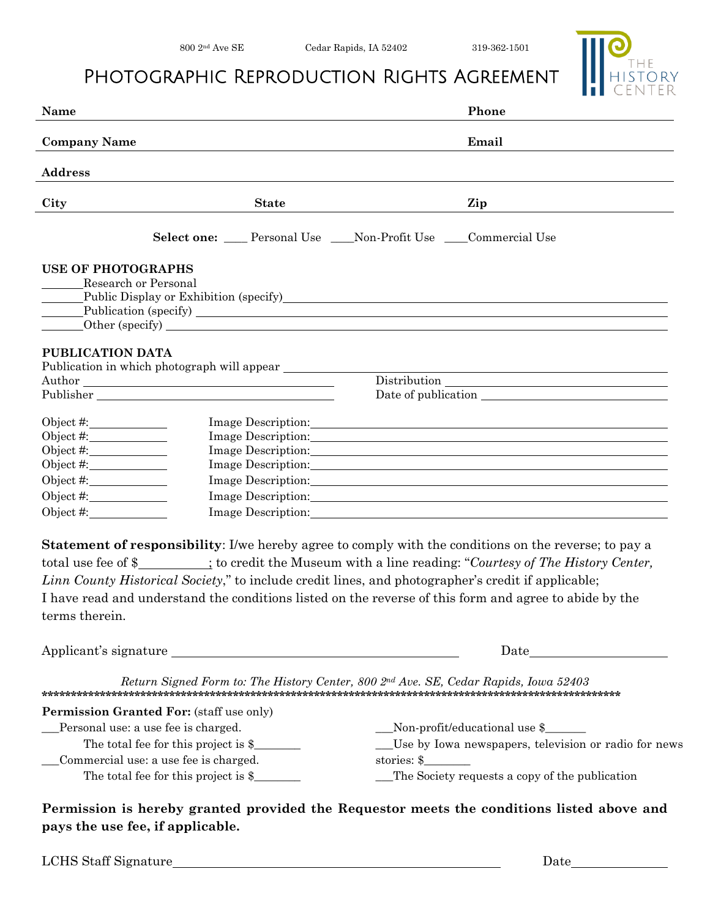$319-362-1501$ 

THE<br>HISTORY

## PHOTOGRAPHIC REPRODUCTION RIGHTS AGREEMENT

| <b>ii</b> center<br>Phone                                                                                                                                                                                                                                                                                                                                                                                                                                                                                                                                                                                                                                                                                                                                                                                                                                                                                                                                                                                                                                                                                                                                                                                                                                                                                                                                                                                                                                                                                                                                                                                                                                                                                                                                                                                                                    |
|----------------------------------------------------------------------------------------------------------------------------------------------------------------------------------------------------------------------------------------------------------------------------------------------------------------------------------------------------------------------------------------------------------------------------------------------------------------------------------------------------------------------------------------------------------------------------------------------------------------------------------------------------------------------------------------------------------------------------------------------------------------------------------------------------------------------------------------------------------------------------------------------------------------------------------------------------------------------------------------------------------------------------------------------------------------------------------------------------------------------------------------------------------------------------------------------------------------------------------------------------------------------------------------------------------------------------------------------------------------------------------------------------------------------------------------------------------------------------------------------------------------------------------------------------------------------------------------------------------------------------------------------------------------------------------------------------------------------------------------------------------------------------------------------------------------------------------------------|
| Email                                                                                                                                                                                                                                                                                                                                                                                                                                                                                                                                                                                                                                                                                                                                                                                                                                                                                                                                                                                                                                                                                                                                                                                                                                                                                                                                                                                                                                                                                                                                                                                                                                                                                                                                                                                                                                        |
|                                                                                                                                                                                                                                                                                                                                                                                                                                                                                                                                                                                                                                                                                                                                                                                                                                                                                                                                                                                                                                                                                                                                                                                                                                                                                                                                                                                                                                                                                                                                                                                                                                                                                                                                                                                                                                              |
|                                                                                                                                                                                                                                                                                                                                                                                                                                                                                                                                                                                                                                                                                                                                                                                                                                                                                                                                                                                                                                                                                                                                                                                                                                                                                                                                                                                                                                                                                                                                                                                                                                                                                                                                                                                                                                              |
| Zip                                                                                                                                                                                                                                                                                                                                                                                                                                                                                                                                                                                                                                                                                                                                                                                                                                                                                                                                                                                                                                                                                                                                                                                                                                                                                                                                                                                                                                                                                                                                                                                                                                                                                                                                                                                                                                          |
| Select one: ___ Personal Use ___ Non-Profit Use ___ Commercial Use                                                                                                                                                                                                                                                                                                                                                                                                                                                                                                                                                                                                                                                                                                                                                                                                                                                                                                                                                                                                                                                                                                                                                                                                                                                                                                                                                                                                                                                                                                                                                                                                                                                                                                                                                                           |
| Public Display or Exhibition (specify)<br>The Contract of Contract of Contract of Contract of Contract of Contract of Contract of Contract of Contract of Contract of Contract of Contract of Contract of Contract of Contract o                                                                                                                                                                                                                                                                                                                                                                                                                                                                                                                                                                                                                                                                                                                                                                                                                                                                                                                                                                                                                                                                                                                                                                                                                                                                                                                                                                                                                                                                                                                                                                                                             |
|                                                                                                                                                                                                                                                                                                                                                                                                                                                                                                                                                                                                                                                                                                                                                                                                                                                                                                                                                                                                                                                                                                                                                                                                                                                                                                                                                                                                                                                                                                                                                                                                                                                                                                                                                                                                                                              |
| $\begin{tabular}{c} Distribution \end{tabular}$                                                                                                                                                                                                                                                                                                                                                                                                                                                                                                                                                                                                                                                                                                                                                                                                                                                                                                                                                                                                                                                                                                                                                                                                                                                                                                                                                                                                                                                                                                                                                                                                                                                                                                                                                                                              |
|                                                                                                                                                                                                                                                                                                                                                                                                                                                                                                                                                                                                                                                                                                                                                                                                                                                                                                                                                                                                                                                                                                                                                                                                                                                                                                                                                                                                                                                                                                                                                                                                                                                                                                                                                                                                                                              |
| Image Description: Note that the contract of the contract of the contract of the contract of the contract of the contract of the contract of the contract of the contract of the contract of the contract of the contract of t<br>Image Description: New York 2014 19:30 and 2014 19:30 and 2014 19:30 and 2014 19:30 and 2014 19:30 and 2014 19:30 and 2014 19:30 and 2014 19:30 and 2014 19:30 and 2014 19:30 and 2014 19:30 and 2014 19:30 and 2014 19:30 and<br>Image Description: New York Contract the Contract of the Contract of the Contract of the Contract of the Contract of the Contract of the Contract of the Contract of the Contract of the Contract of the Contract of the Contr<br>Image Description: Note that the contract of the contract of the contract of the contract of the contract of the contract of the contract of the contract of the contract of the contract of the contract of the contract of t<br>Image Description: Notice that the contract of the contract of the contract of the contract of the contract of the contract of the contract of the contract of the contract of the contract of the contract of the contract of<br>Image Description: New York Contact the Contract of the Contract of the Contract of the Contract of the Contract of the Contract of the Contract of the Contract of the Contract of the Contract of the Contract of the Contra<br>Statement of responsibility: I/we hereby agree to comply with the conditions on the reverse; to pay a<br>total use fee of \$________; to credit the Museum with a line reading: "Courtesy of The History Center,<br>Linn County Historical Society," to include credit lines, and photographer's credit if applicable;<br>I have read and understand the conditions listed on the reverse of this form and agree to abide by the |
| Applicant's signature                                                                                                                                                                                                                                                                                                                                                                                                                                                                                                                                                                                                                                                                                                                                                                                                                                                                                                                                                                                                                                                                                                                                                                                                                                                                                                                                                                                                                                                                                                                                                                                                                                                                                                                                                                                                                        |
| Return Signed Form to: The History Center, 800 2nd Ave. SE, Cedar Rapids, Iowa 52403                                                                                                                                                                                                                                                                                                                                                                                                                                                                                                                                                                                                                                                                                                                                                                                                                                                                                                                                                                                                                                                                                                                                                                                                                                                                                                                                                                                                                                                                                                                                                                                                                                                                                                                                                         |
| __Non-profit/educational use \$_____<br>__Use by Iowa newspapers, television or radio for news<br>stories: $\frac{1}{2}$<br>The Society requests a copy of the publication<br>Permission is hereby granted provided the Requestor meets the conditions listed above and                                                                                                                                                                                                                                                                                                                                                                                                                                                                                                                                                                                                                                                                                                                                                                                                                                                                                                                                                                                                                                                                                                                                                                                                                                                                                                                                                                                                                                                                                                                                                                      |
|                                                                                                                                                                                                                                                                                                                                                                                                                                                                                                                                                                                                                                                                                                                                                                                                                                                                                                                                                                                                                                                                                                                                                                                                                                                                                                                                                                                                                                                                                                                                                                                                                                                                                                                                                                                                                                              |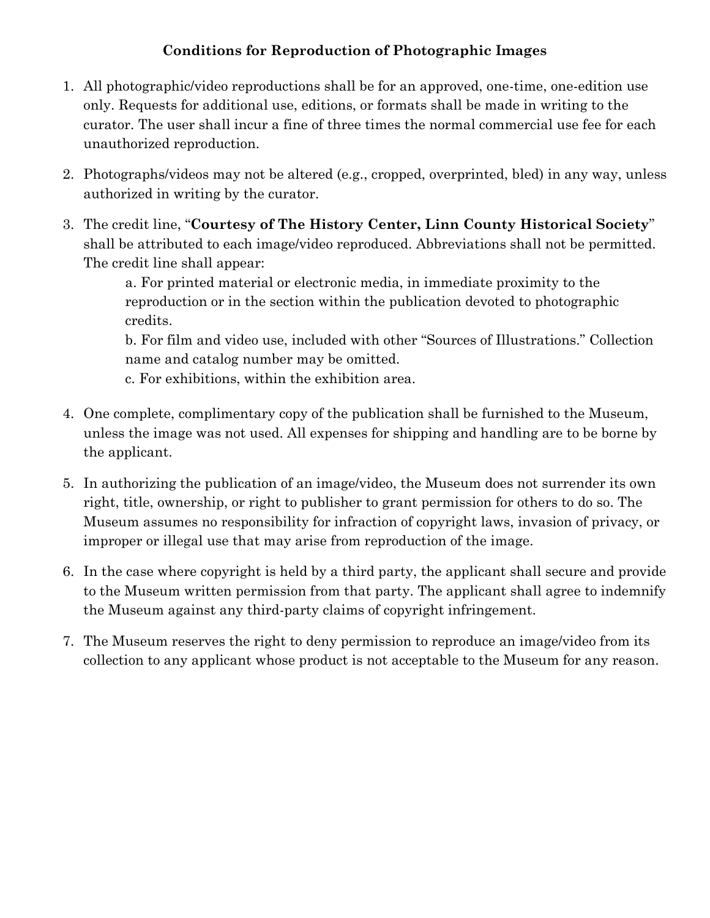## **Conditions for Reproduction of Photographic Images**

- 1. All photographic/video reproductions shall be for an approved, one-time, one-edition use only. Requests for additional use, editions, or formats shall be made in writing to the curator. The user shall incur a fine of three times the normal commercial use fee for each unauthorized reproduction.
- 2. Photographs/videos may not be altered (e.g., cropped, overprinted, bled) in any way, unless authorized in writing by the curator.
- 3. The credit line, "**Courtesy of The History Center, Linn County Historical Society**" shall be attributed to each image/video reproduced. Abbreviations shall not be permitted. The credit line shall appear:

a. For printed material or electronic media, in immediate proximity to the reproduction or in the section within the publication devoted to photographic credits.

b. For film and video use, included with other "Sources of Illustrations." Collection name and catalog number may be omitted.

c. For exhibitions, within the exhibition area.

- 4. One complete, complimentary copy of the publication shall be furnished to the Museum, unless the image was not used. All expenses for shipping and handling are to be borne by the applicant.
- 5. In authorizing the publication of an image/video, the Museum does not surrender its own right, title, ownership, or right to publisher to grant permission for others to do so. The Museum assumes no responsibility for infraction of copyright laws, invasion of privacy, or improper or illegal use that may arise from reproduction of the image.
- 6. In the case where copyright is held by a third party, the applicant shall secure and provide to the Museum written permission from that party. The applicant shall agree to indemnify the Museum against any third-party claims of copyright infringement.
- 7. The Museum reserves the right to deny permission to reproduce an image/video from its collection to any applicant whose product is not acceptable to the Museum for any reason.